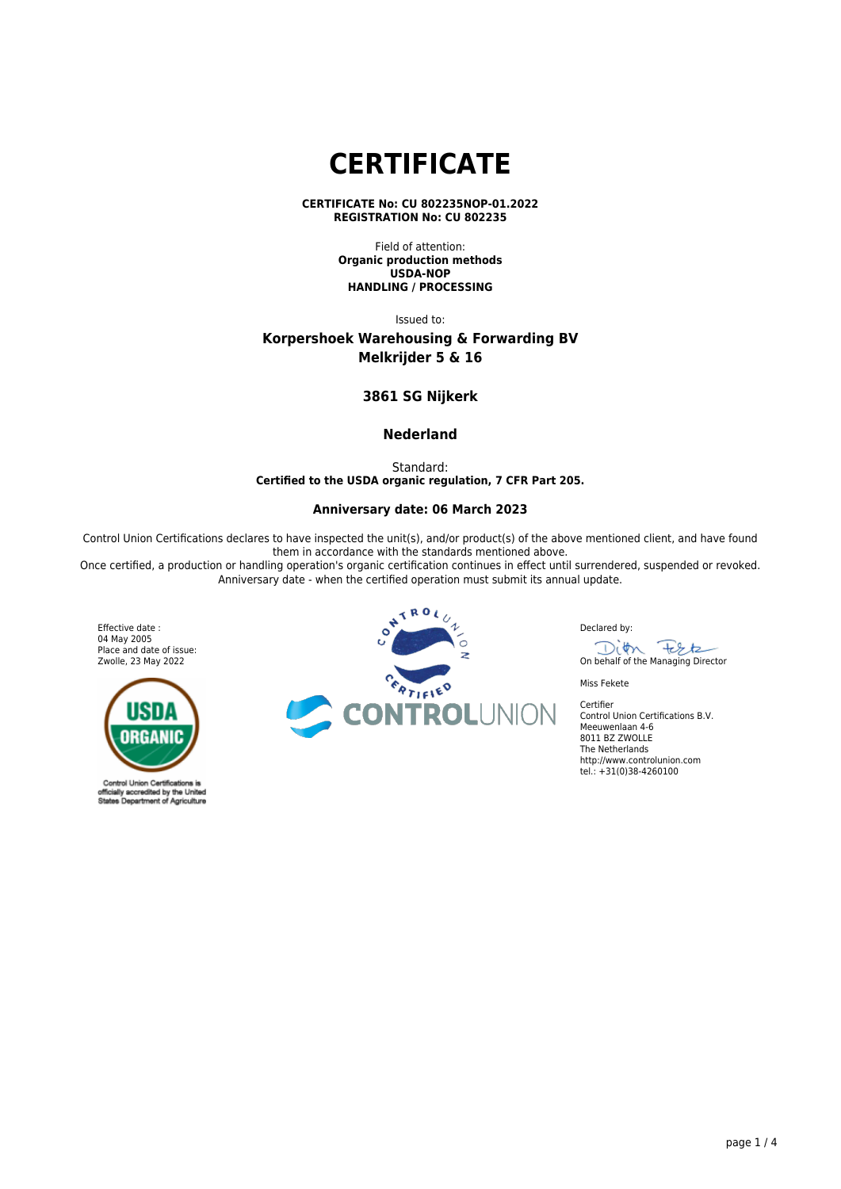# **CERTIFICATE**

**CERTIFICATE No: CU 802235NOP-01.2022 REGISTRATION No: CU 802235**

> Field of attention: **Organic production methods USDA-NOP HANDLING / PROCESSING**

> > Issued to:

# **Korpershoek Warehousing & Forwarding BV Melkrijder 5 & 16**

# **3861 SG Nijkerk**

# **Nederland**

Standard: **Certified to the USDA organic regulation, 7 CFR Part 205.**

## **Anniversary date: 06 March 2023**

Control Union Certifications declares to have inspected the unit(s), and/or product(s) of the above mentioned client, and have found them in accordance with the standards mentioned above.

Once certified, a production or handling operation's organic certification continues in effect until surrendered, suspended or revoked. Anniversary date - when the certified operation must submit its annual update.

Effective date : 04 May 2005 Place and date of issue: Zwolle, 23 May 2022



Control Union Certifications is official<br>States ally accredited by the United<br>so Department of Agriculture



Declared by:

On behalf of the Managing Director

Miss Fekete

Certifier

Control Union Certifications B.V. Meeuwenlaan 4-6 8011 BZ ZWOLLE The Netherlands http://www.controlunion.com tel.: +31(0)38-4260100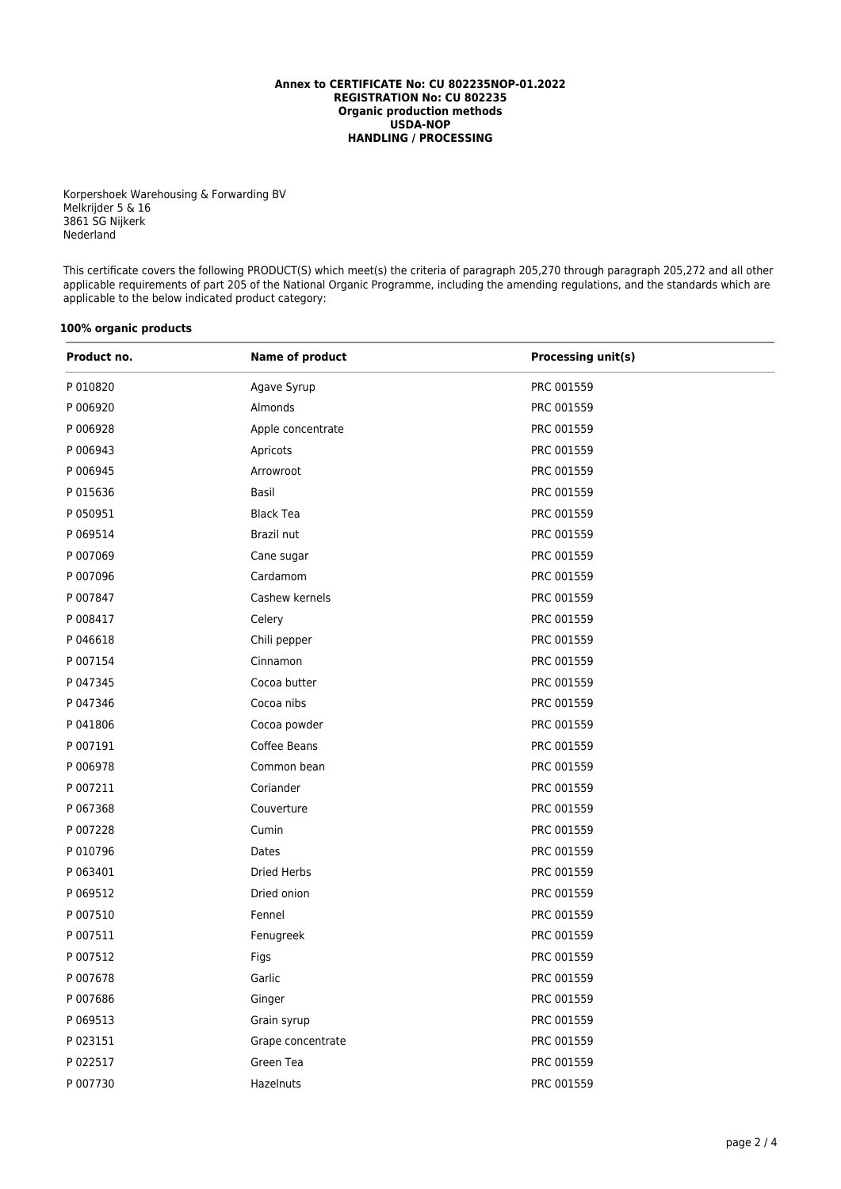#### **Annex to CERTIFICATE No: CU 802235NOP-01.2022 REGISTRATION No: CU 802235 Organic production methods USDA-NOP HANDLING / PROCESSING**

Korpershoek Warehousing & Forwarding BV Melkrijder 5 & 16 3861 SG Nijkerk Nederland

This certificate covers the following PRODUCT(S) which meet(s) the criteria of paragraph 205,270 through paragraph 205,272 and all other applicable requirements of part 205 of the National Organic Programme, including the amending regulations, and the standards which are applicable to the below indicated product category:

## **100% organic products**

| Product no. | Name of product    | <b>Processing unit(s)</b> |  |
|-------------|--------------------|---------------------------|--|
| P 010820    | Agave Syrup        | PRC 001559                |  |
| P 006920    | Almonds            | PRC 001559                |  |
| P 006928    | Apple concentrate  | PRC 001559                |  |
| P 006943    | Apricots           | PRC 001559                |  |
| P 006945    | Arrowroot          | PRC 001559                |  |
| P 015636    | Basil              | PRC 001559                |  |
| P 050951    | <b>Black Tea</b>   | PRC 001559                |  |
| P 069514    | Brazil nut         | PRC 001559                |  |
| P 007069    | Cane sugar         | PRC 001559                |  |
| P 007096    | Cardamom           | PRC 001559                |  |
| P 007847    | Cashew kernels     | PRC 001559                |  |
| P 008417    | Celery             | PRC 001559                |  |
| P 046618    | Chili pepper       | PRC 001559                |  |
| P 007154    | Cinnamon           | PRC 001559                |  |
| P 047345    | Cocoa butter       | PRC 001559                |  |
| P 047346    | Cocoa nibs         | PRC 001559                |  |
| P 041806    | Cocoa powder       | PRC 001559                |  |
| P 007191    | Coffee Beans       | PRC 001559                |  |
| P 006978    | Common bean        | PRC 001559                |  |
| P 007211    | Coriander          | PRC 001559                |  |
| P 067368    | Couverture         | PRC 001559                |  |
| P 007228    | Cumin              | PRC 001559                |  |
| P 010796    | Dates              | PRC 001559                |  |
| P 063401    | <b>Dried Herbs</b> | PRC 001559                |  |
| P 069512    | Dried onion        | PRC 001559                |  |
| P 007510    | Fennel             | PRC 001559                |  |
| P 007511    | Fenugreek          | PRC 001559                |  |
| P 007512    | Figs               | PRC 001559                |  |
| P 007678    | Garlic             | PRC 001559                |  |
| P 007686    | Ginger             | PRC 001559                |  |
| P 069513    | Grain syrup        | PRC 001559                |  |
| P 023151    | Grape concentrate  | PRC 001559                |  |
| P 022517    | Green Tea          | PRC 001559                |  |
| P 007730    | Hazelnuts          | PRC 001559                |  |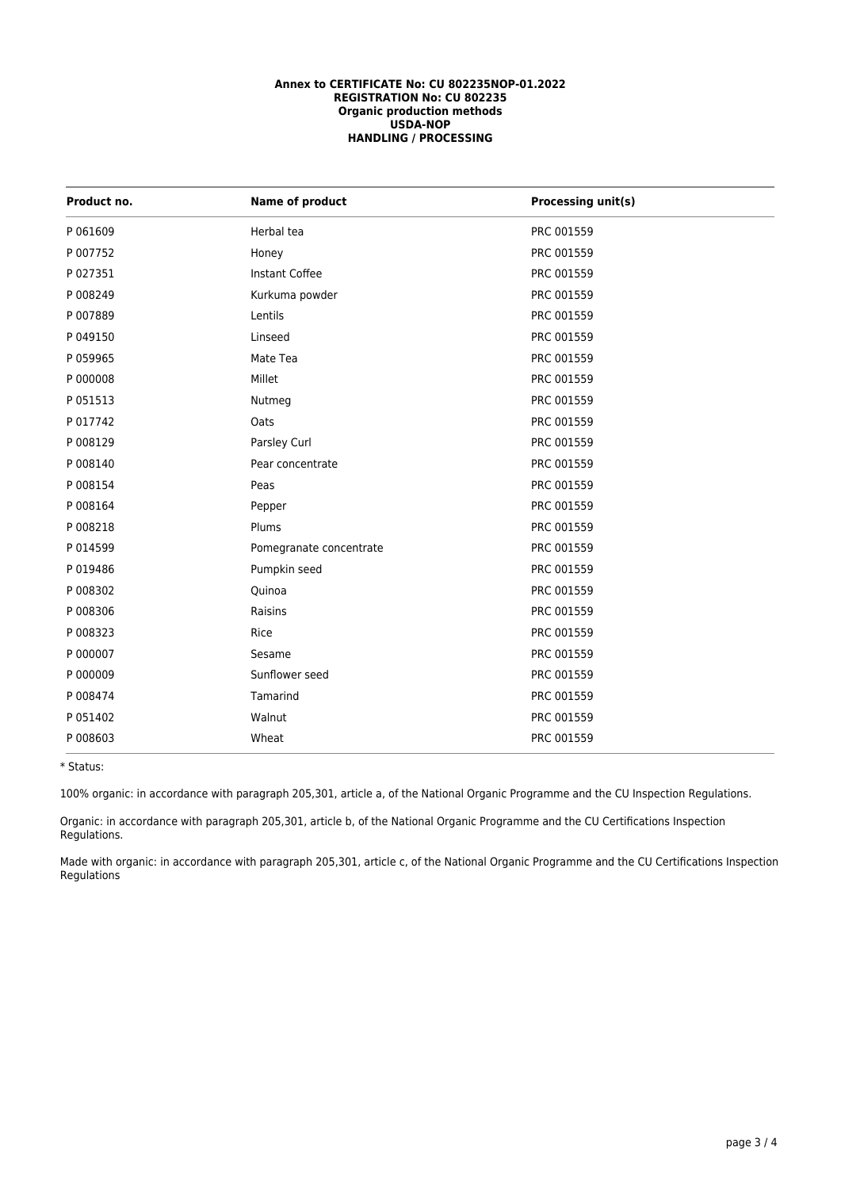#### **Annex to CERTIFICATE No: CU 802235NOP-01.2022 REGISTRATION No: CU 802235 Organic production methods USDA-NOP HANDLING / PROCESSING**

| Product no. | Name of product         | <b>Processing unit(s)</b> |
|-------------|-------------------------|---------------------------|
| P 061609    | Herbal tea              | PRC 001559                |
| P 007752    | Honey                   | PRC 001559                |
| P 027351    | Instant Coffee          | PRC 001559                |
| P 008249    | Kurkuma powder          | PRC 001559                |
| P 007889    | Lentils                 | PRC 001559                |
| P 049150    | Linseed                 | PRC 001559                |
| P 059965    | Mate Tea                | PRC 001559                |
| P 000008    | Millet                  | PRC 001559                |
| P 051513    | Nutmeg                  | PRC 001559                |
| P 017742    | Oats                    | PRC 001559                |
| P 008129    | Parsley Curl            | PRC 001559                |
| P 008140    | Pear concentrate        | PRC 001559                |
| P 008154    | Peas                    | PRC 001559                |
| P 008164    | Pepper                  | PRC 001559                |
| P 008218    | Plums                   | PRC 001559                |
| P 014599    | Pomegranate concentrate | PRC 001559                |
| P 019486    | Pumpkin seed            | PRC 001559                |
| P 008302    | Quinoa                  | PRC 001559                |
| P 008306    | Raisins                 | PRC 001559                |
| P 008323    | Rice                    | PRC 001559                |
| P 000007    | Sesame                  | PRC 001559                |
| P 000009    | Sunflower seed          | PRC 001559                |
| P 008474    | Tamarind                | PRC 001559                |
| P 051402    | Walnut                  | PRC 001559                |
| P 008603    | Wheat                   | PRC 001559                |

\* Status:

100% organic: in accordance with paragraph 205,301, article a, of the National Organic Programme and the CU Inspection Regulations.

Organic: in accordance with paragraph 205,301, article b, of the National Organic Programme and the CU Certifications Inspection Regulations.

Made with organic: in accordance with paragraph 205,301, article c, of the National Organic Programme and the CU Certifications Inspection Regulations